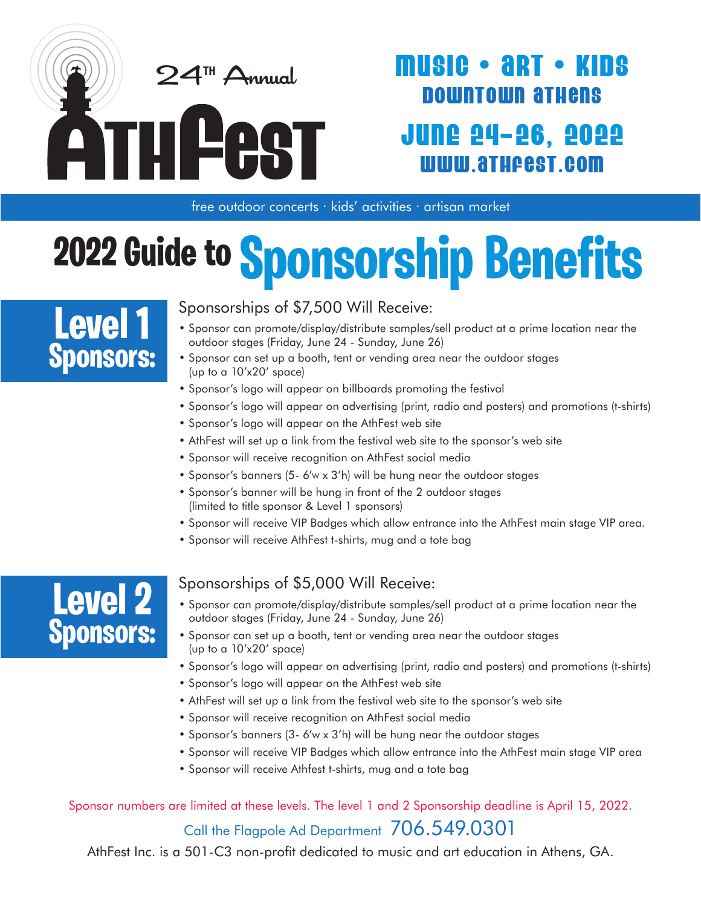

## MUSIC • ART • KIDS DOWNTOWN ATHeNS JUNE 24–26, 2O22 WWW.ATHFeST.COM

free outdoor concerts · kids' activities · artisan market

# **2022 Guide to Sponsorship Benefits**

## **Level 1 Sponsors:**

Sponsorships of \$7,500 Will Receive:

- Sponsor can promote/display/distribute samples/sell product at a prime location near the outdoor stages (Friday, June 24 - Sunday, June 26)
- Sponsor can set up a booth, tent or vending area near the outdoor stages (up to a 10'x20' space)
- Sponsor's logo will appear on billboards promoting the festival
- Sponsor's logo will appear on advertising (print, radio and posters) and promotions (t-shirts)
- Sponsor's logo will appear on the AthFest web site
- AthFest will set up a link from the festival web site to the sponsor's web site
- Sponsor will receive recognition on AthFest social media
- Sponsor's banners (5- 6'w x 3'h) will be hung near the outdoor stages
- Sponsor's banner will be hung in front of the 2 outdoor stages (limited to title sponsor & Level 1 sponsors)
- Sponsor will receive VIP Badges which allow entrance into the AthFest main stage VIP area.
- Sponsor will receive AthFest t-shirts, mug and a tote bag



#### Sponsorships of \$5,000 Will Receive:

- Sponsor can promote/display/distribute samples/sell product at a prime location near the outdoor stages (Friday, June 24 - Sunday, June 26)
- Sponsor can set up a booth, tent or vending area near the outdoor stages (up to a 10'x20' space)
- Sponsor's logo will appear on advertising (print, radio and posters) and promotions (t-shirts)
- Sponsor's logo will appear on the AthFest web site
- AthFest will set up a link from the festival web site to the sponsor's web site
- Sponsor will receive recognition on AthFest social media
- Sponsor's banners (3- 6'w x 3'h) will be hung near the outdoor stages
- Sponsor will receive VIP Badges which allow entrance into the AthFest main stage VIP area
- Sponsor will receive Athfest t-shirts, mug and a tote bag

#### Sponsor numbers are limited at these levels. The level 1 and 2 Sponsorship deadline is April 15, 2022.

#### Call the Flagpole Ad Department 706.549.0301

AthFest Inc. is a 501-C3 non-profit dedicated to music and art education in Athens, GA.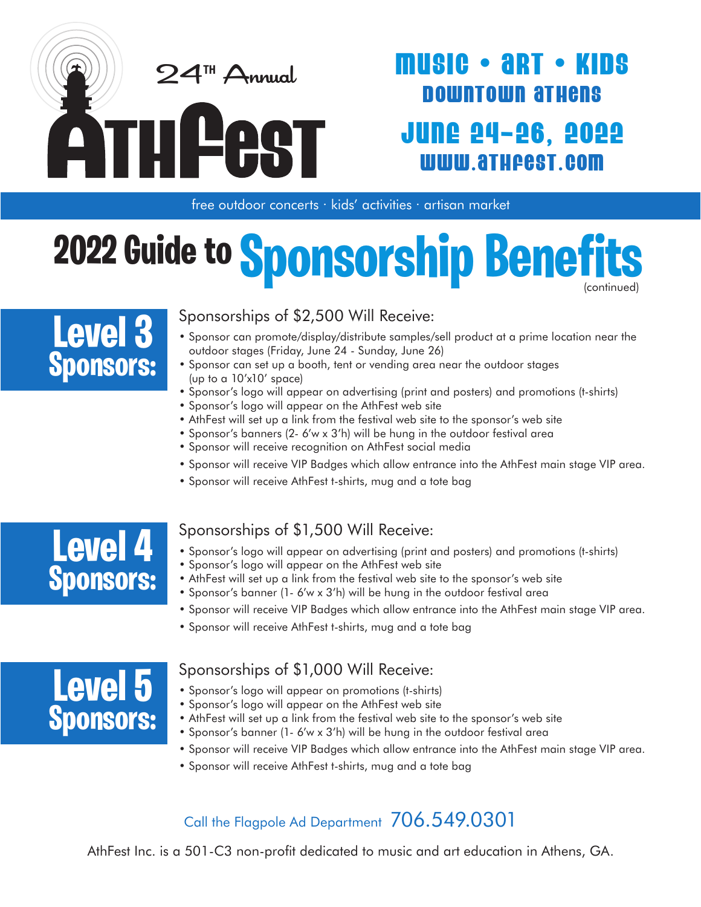

## **IUSIC • ART •** DOWNTOWN ATHeNS JUNE 24–26, 2O22 WWW.ATHFeST.COM

free outdoor concerts · kids' activities · artisan market

## (continued) **2022 Guide to Sponsorship Benefi**



#### Sponsorships of \$2,500 Will Receive:

- Sponsor can promote/display/distribute samples/sell product at a prime location near the outdoor stages (Friday, June 24 - Sunday, June 26)
- Sponsor can set up a booth, tent or vending area near the outdoor stages (up to a 10'x10' space)
- Sponsor's logo will appear on advertising (print and posters) and promotions (t-shirts)
- Sponsor's logo will appear on the AthFest web site
- AthFest will set up a link from the festival web site to the sponsor's web site
- Sponsor's banners (2- 6'w x 3'h) will be hung in the outdoor festival area
- Sponsor will receive recognition on AthFest social media
- Sponsor will receive VIP Badges which allow entrance into the AthFest main stage VIP area.
- Sponsor will receive AthFest t-shirts, mug and a tote bag



#### Sponsorships of \$1,500 Will Receive:

- Sponsor's logo will appear on advertising (print and posters) and promotions (t-shirts)
- Sponsor's logo will appear on the AthFest web site
- AthFest will set up a link from the festival web site to the sponsor's web site
- Sponsor's banner (1- 6'w x 3'h) will be hung in the outdoor festival area
- Sponsor will receive VIP Badges which allow entrance into the AthFest main stage VIP area.
- Sponsor will receive AthFest t-shirts, mug and a tote bag



#### Sponsorships of \$1,000 Will Receive:

- Sponsor's logo will appear on promotions (t-shirts)
- Sponsor's logo will appear on the AthFest web site
- AthFest will set up a link from the festival web site to the sponsor's web site
- Sponsor's banner (1- 6'w x 3'h) will be hung in the outdoor festival area
- Sponsor will receive VIP Badges which allow entrance into the AthFest main stage VIP area.
- Sponsor will receive AthFest t-shirts, mug and a tote bag

#### Call the Flagpole Ad Department 706.549.0301

AthFest Inc. is a 501-C3 non-profit dedicated to music and art education in Athens, GA.